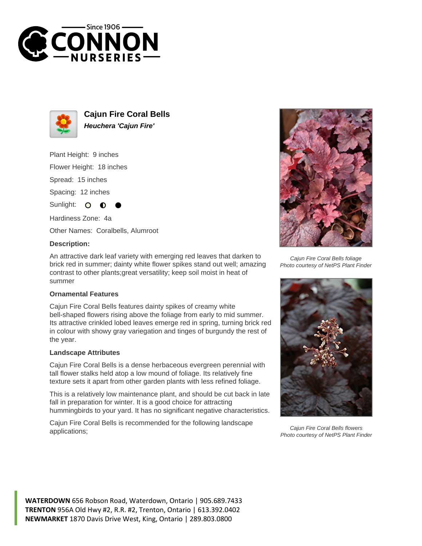



**Cajun Fire Coral Bells Heuchera 'Cajun Fire'**

Plant Height: 9 inches

Flower Height: 18 inches

Spread: 15 inches

Spacing: 12 inches

Sunlight:  $\circ$ ∩

Hardiness Zone: 4a

Other Names: Coralbells, Alumroot

## **Description:**

An attractive dark leaf variety with emerging red leaves that darken to brick red in summer; dainty white flower spikes stand out well; amazing contrast to other plants;great versatility; keep soil moist in heat of summer

## **Ornamental Features**

Cajun Fire Coral Bells features dainty spikes of creamy white bell-shaped flowers rising above the foliage from early to mid summer. Its attractive crinkled lobed leaves emerge red in spring, turning brick red in colour with showy gray variegation and tinges of burgundy the rest of the year.

## **Landscape Attributes**

Cajun Fire Coral Bells is a dense herbaceous evergreen perennial with tall flower stalks held atop a low mound of foliage. Its relatively fine texture sets it apart from other garden plants with less refined foliage.

This is a relatively low maintenance plant, and should be cut back in late fall in preparation for winter. It is a good choice for attracting hummingbirds to your yard. It has no significant negative characteristics.

Cajun Fire Coral Bells is recommended for the following landscape applications;



Cajun Fire Coral Bells foliage Photo courtesy of NetPS Plant Finder



Cajun Fire Coral Bells flowers Photo courtesy of NetPS Plant Finder

**WATERDOWN** 656 Robson Road, Waterdown, Ontario | 905.689.7433 **TRENTON** 956A Old Hwy #2, R.R. #2, Trenton, Ontario | 613.392.0402 **NEWMARKET** 1870 Davis Drive West, King, Ontario | 289.803.0800